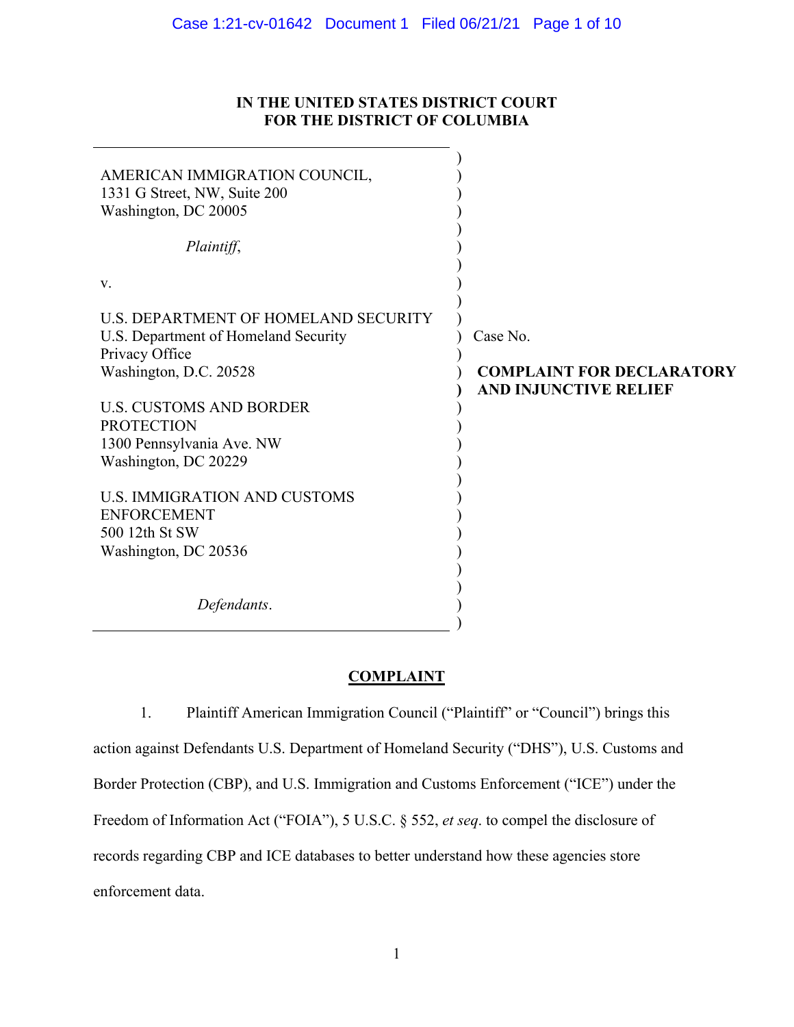#### Case 1:21-cv-01642 Document 1 Filed 06/21/21 Page 1 of 10

# **IN THE UNITED STATES DISTRICT COURT FOR THE DISTRICT OF COLUMBIA**

| AMERICAN IMMIGRATION COUNCIL,<br>1331 G Street, NW, Suite 200<br>Washington, DC 20005<br>Plaintiff, |                                  |
|-----------------------------------------------------------------------------------------------------|----------------------------------|
|                                                                                                     |                                  |
| V.                                                                                                  |                                  |
| U.S. DEPARTMENT OF HOMELAND SECURITY                                                                |                                  |
| U.S. Department of Homeland Security                                                                | Case No.                         |
| Privacy Office                                                                                      |                                  |
| Washington, D.C. 20528                                                                              | <b>COMPLAINT FOR DECLARATORY</b> |
|                                                                                                     | <b>AND INJUNCTIVE RELIEF</b>     |
| <b>U.S. CUSTOMS AND BORDER</b>                                                                      |                                  |
| <b>PROTECTION</b>                                                                                   |                                  |
| 1300 Pennsylvania Ave. NW                                                                           |                                  |
| Washington, DC 20229                                                                                |                                  |
| <b>U.S. IMMIGRATION AND CUSTOMS</b>                                                                 |                                  |
| <b>ENFORCEMENT</b>                                                                                  |                                  |
| 500 12th St SW                                                                                      |                                  |
| Washington, DC 20536                                                                                |                                  |
|                                                                                                     |                                  |
|                                                                                                     |                                  |
| Defendants.                                                                                         |                                  |
|                                                                                                     |                                  |

## **COMPLAINT**

1. Plaintiff American Immigration Council ("Plaintiff" or "Council") brings this action against Defendants U.S. Department of Homeland Security ("DHS"), U.S. Customs and Border Protection (CBP), and U.S. Immigration and Customs Enforcement ("ICE") under the Freedom of Information Act ("FOIA"), 5 U.S.C. § 552, *et seq*. to compel the disclosure of records regarding CBP and ICE databases to better understand how these agencies store enforcement data.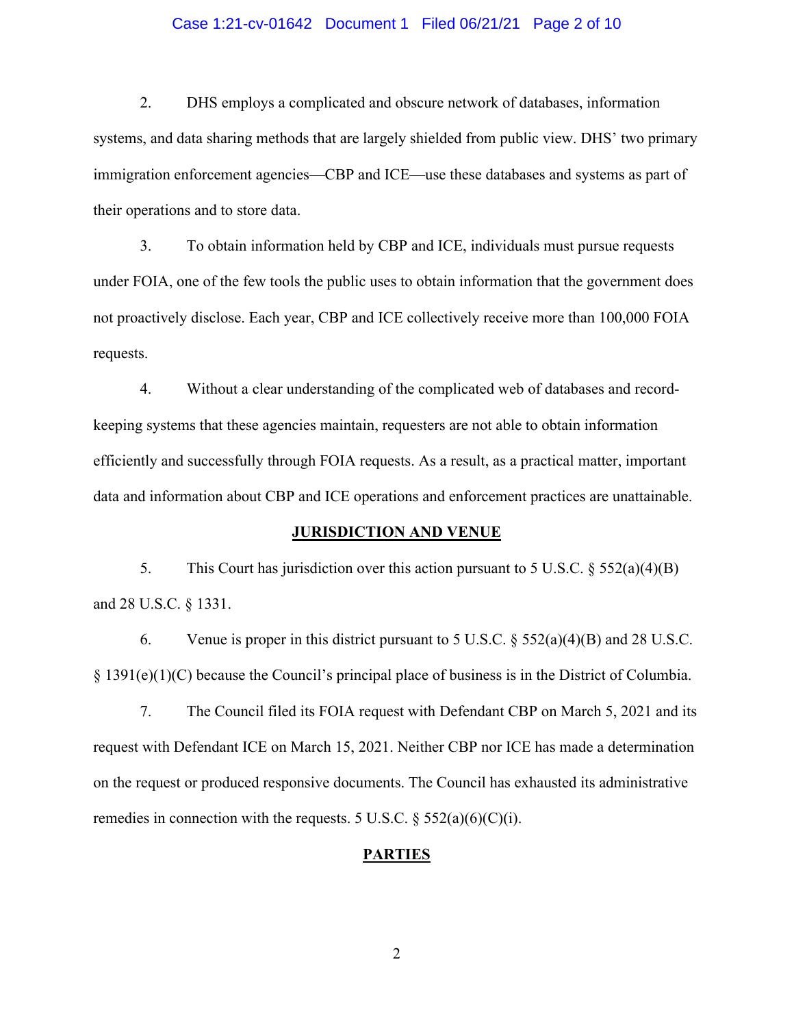### Case 1:21-cv-01642 Document 1 Filed 06/21/21 Page 2 of 10

2. DHS employs a complicated and obscure network of databases, information systems, and data sharing methods that are largely shielded from public view. DHS' two primary immigration enforcement agencies—CBP and ICE—use these databases and systems as part of their operations and to store data.

3. To obtain information held by CBP and ICE, individuals must pursue requests under FOIA, one of the few tools the public uses to obtain information that the government does not proactively disclose. Each year, CBP and ICE collectively receive more than 100,000 FOIA requests.

4. Without a clear understanding of the complicated web of databases and recordkeeping systems that these agencies maintain, requesters are not able to obtain information efficiently and successfully through FOIA requests. As a result, as a practical matter, important data and information about CBP and ICE operations and enforcement practices are unattainable.

#### **JURISDICTION AND VENUE**

5. This Court has jurisdiction over this action pursuant to 5 U.S.C. § 552(a)(4)(B) and 28 U.S.C. § 1331.

6. Venue is proper in this district pursuant to  $5$  U.S.C.  $\S$   $552(a)(4)(B)$  and  $28$  U.S.C.  $§$  1391(e)(1)(C) because the Council's principal place of business is in the District of Columbia.

7. The Council filed its FOIA request with Defendant CBP on March 5, 2021 and its request with Defendant ICE on March 15, 2021. Neither CBP nor ICE has made a determination on the request or produced responsive documents. The Council has exhausted its administrative remedies in connection with the requests. 5 U.S.C.  $\S$  552(a)(6)(C)(i).

## **PARTIES**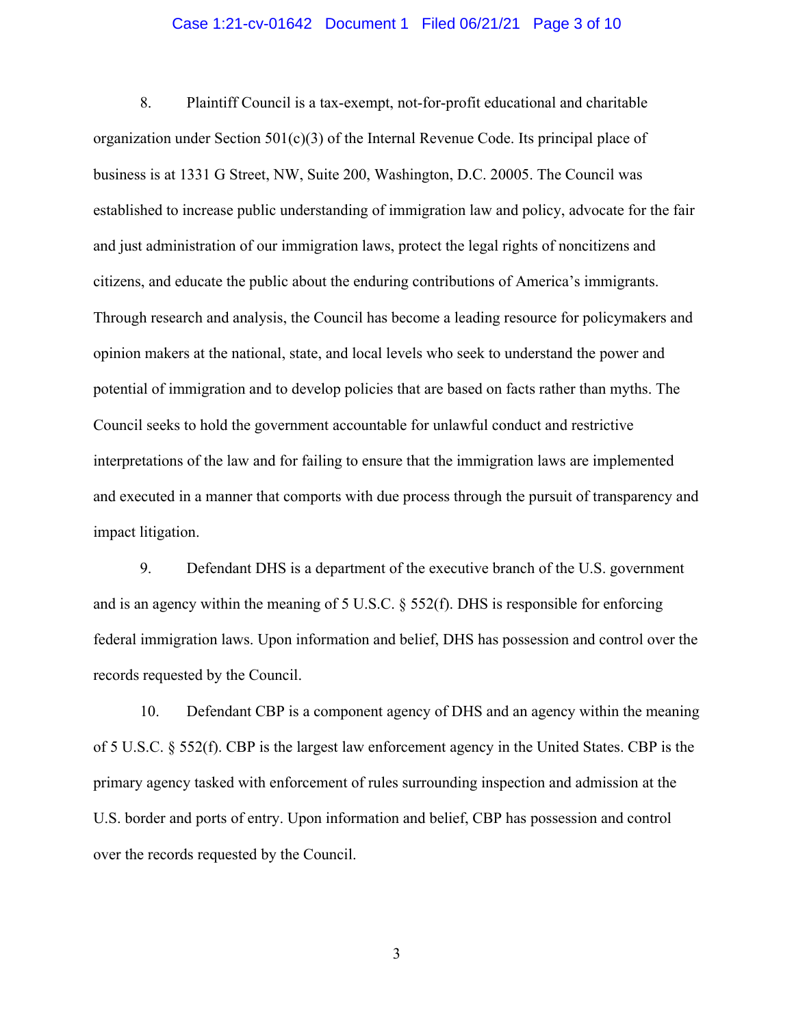#### Case 1:21-cv-01642 Document 1 Filed 06/21/21 Page 3 of 10

8. Plaintiff Council is a tax-exempt, not-for-profit educational and charitable organization under Section  $501(c)(3)$  of the Internal Revenue Code. Its principal place of business is at 1331 G Street, NW, Suite 200, Washington, D.C. 20005. The Council was established to increase public understanding of immigration law and policy, advocate for the fair and just administration of our immigration laws, protect the legal rights of noncitizens and citizens, and educate the public about the enduring contributions of America's immigrants. Through research and analysis, the Council has become a leading resource for policymakers and opinion makers at the national, state, and local levels who seek to understand the power and potential of immigration and to develop policies that are based on facts rather than myths. The Council seeks to hold the government accountable for unlawful conduct and restrictive interpretations of the law and for failing to ensure that the immigration laws are implemented and executed in a manner that comports with due process through the pursuit of transparency and impact litigation.

9. Defendant DHS is a department of the executive branch of the U.S. government and is an agency within the meaning of 5 U.S.C. § 552(f). DHS is responsible for enforcing federal immigration laws. Upon information and belief, DHS has possession and control over the records requested by the Council.

10. Defendant CBP is a component agency of DHS and an agency within the meaning of 5 U.S.C. § 552(f). CBP is the largest law enforcement agency in the United States. CBP is the primary agency tasked with enforcement of rules surrounding inspection and admission at the U.S. border and ports of entry. Upon information and belief, CBP has possession and control over the records requested by the Council.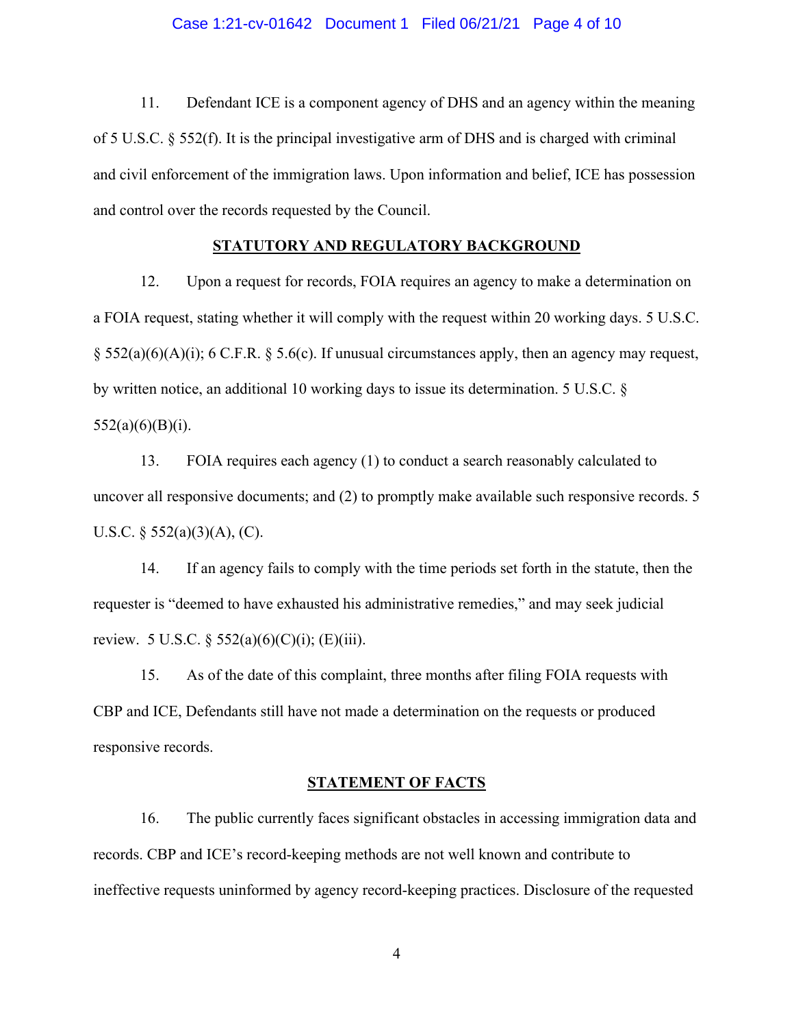#### Case 1:21-cv-01642 Document 1 Filed 06/21/21 Page 4 of 10

11. Defendant ICE is a component agency of DHS and an agency within the meaning of 5 U.S.C. § 552(f). It is the principal investigative arm of DHS and is charged with criminal and civil enforcement of the immigration laws. Upon information and belief, ICE has possession and control over the records requested by the Council.

#### **STATUTORY AND REGULATORY BACKGROUND**

12. Upon a request for records, FOIA requires an agency to make a determination on a FOIA request, stating whether it will comply with the request within 20 working days. 5 U.S.C. § 552(a)(6)(A)(i); 6 C.F.R. § 5.6(c). If unusual circumstances apply, then an agency may request, by written notice, an additional 10 working days to issue its determination. 5 U.S.C. § 552(a)(6)(B)(i).

13. FOIA requires each agency (1) to conduct a search reasonably calculated to uncover all responsive documents; and (2) to promptly make available such responsive records. 5 U.S.C.  $\S$  552(a)(3)(A), (C).

14. If an agency fails to comply with the time periods set forth in the statute, then the requester is "deemed to have exhausted his administrative remedies," and may seek judicial review. 5 U.S.C.  $\S 552(a)(6)(C)(i)$ ; (E)(iii).

15. As of the date of this complaint, three months after filing FOIA requests with CBP and ICE, Defendants still have not made a determination on the requests or produced responsive records.

#### **STATEMENT OF FACTS**

16. The public currently faces significant obstacles in accessing immigration data and records. CBP and ICE's record-keeping methods are not well known and contribute to ineffective requests uninformed by agency record-keeping practices. Disclosure of the requested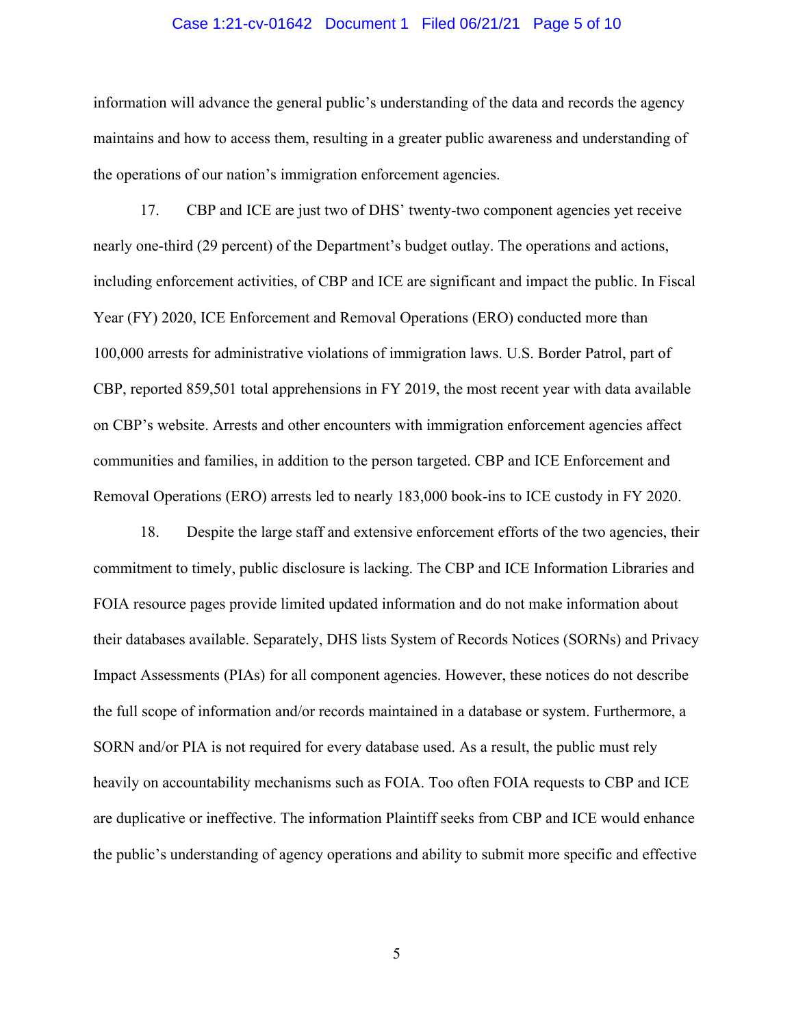#### Case 1:21-cv-01642 Document 1 Filed 06/21/21 Page 5 of 10

information will advance the general public's understanding of the data and records the agency maintains and how to access them, resulting in a greater public awareness and understanding of the operations of our nation's immigration enforcement agencies.

17. CBP and ICE are just two of DHS' twenty-two component agencies yet receive nearly one-third (29 percent) of the Department's budget outlay. The operations and actions, including enforcement activities, of CBP and ICE are significant and impact the public. In Fiscal Year (FY) 2020, ICE Enforcement and Removal Operations (ERO) conducted more than 100,000 arrests for administrative violations of immigration laws. U.S. Border Patrol, part of CBP, reported 859,501 total apprehensions in FY 2019, the most recent year with data available on CBP's website. Arrests and other encounters with immigration enforcement agencies affect communities and families, in addition to the person targeted. CBP and ICE Enforcement and Removal Operations (ERO) arrests led to nearly 183,000 book-ins to ICE custody in FY 2020.

18. Despite the large staff and extensive enforcement efforts of the two agencies, their commitment to timely, public disclosure is lacking. The CBP and ICE Information Libraries and FOIA resource pages provide limited updated information and do not make information about their databases available. Separately, DHS lists System of Records Notices (SORNs) and Privacy Impact Assessments (PIAs) for all component agencies. However, these notices do not describe the full scope of information and/or records maintained in a database or system. Furthermore, a SORN and/or PIA is not required for every database used. As a result, the public must rely heavily on accountability mechanisms such as FOIA. Too often FOIA requests to CBP and ICE are duplicative or ineffective. The information Plaintiff seeks from CBP and ICE would enhance the public's understanding of agency operations and ability to submit more specific and effective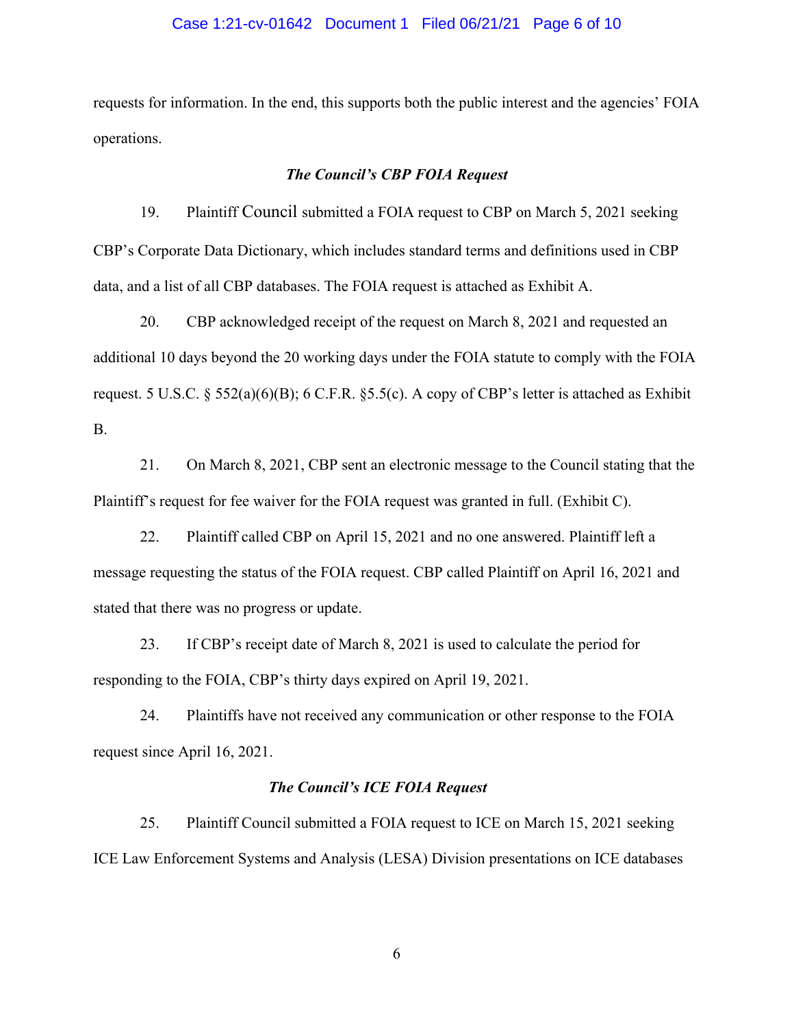#### Case 1:21-cv-01642 Document 1 Filed 06/21/21 Page 6 of 10

requests for information. In the end, this supports both the public interest and the agencies' FOIA operations.

#### *The Council's CBP FOIA Request*

19. Plaintiff Council submitted a FOIA request to CBP on March 5, 2021 seeking CBP's Corporate Data Dictionary, which includes standard terms and definitions used in CBP data, and a list of all CBP databases. The FOIA request is attached as Exhibit A.

20. CBP acknowledged receipt of the request on March 8, 2021 and requested an additional 10 days beyond the 20 working days under the FOIA statute to comply with the FOIA request. 5 U.S.C. § 552(a)(6)(B); 6 C.F.R. § 5.5(c). A copy of CBP's letter is attached as Exhibit B.

21. On March 8, 2021, CBP sent an electronic message to the Council stating that the Plaintiff's request for fee waiver for the FOIA request was granted in full. (Exhibit C).

22. Plaintiff called CBP on April 15, 2021 and no one answered. Plaintiff left a message requesting the status of the FOIA request. CBP called Plaintiff on April 16, 2021 and stated that there was no progress or update.

23. If CBP's receipt date of March 8, 2021 is used to calculate the period for responding to the FOIA, CBP's thirty days expired on April 19, 2021.

24. Plaintiffs have not received any communication or other response to the FOIA request since April 16, 2021.

## *The Council's ICE FOIA Request*

25. Plaintiff Council submitted a FOIA request to ICE on March 15, 2021 seeking ICE Law Enforcement Systems and Analysis (LESA) Division presentations on ICE databases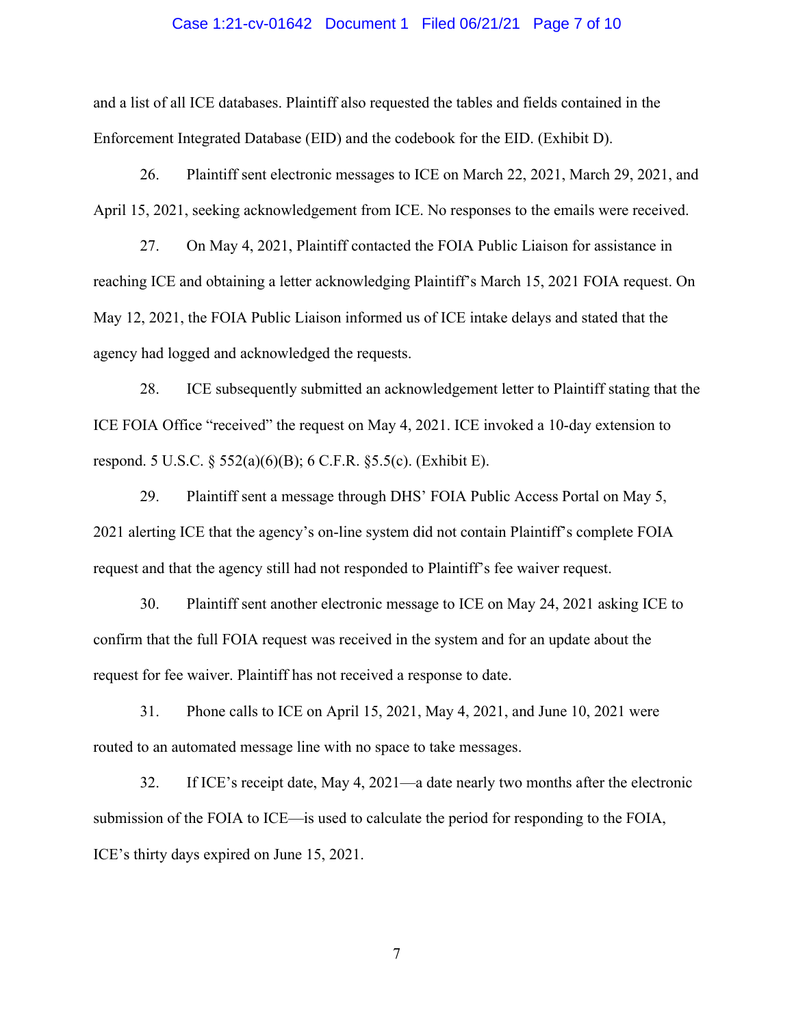#### Case 1:21-cv-01642 Document 1 Filed 06/21/21 Page 7 of 10

and a list of all ICE databases. Plaintiff also requested the tables and fields contained in the Enforcement Integrated Database (EID) and the codebook for the EID. (Exhibit D).

26. Plaintiff sent electronic messages to ICE on March 22, 2021, March 29, 2021, and April 15, 2021, seeking acknowledgement from ICE. No responses to the emails were received.

27. On May 4, 2021, Plaintiff contacted the FOIA Public Liaison for assistance in reaching ICE and obtaining a letter acknowledging Plaintiff's March 15, 2021 FOIA request. On May 12, 2021, the FOIA Public Liaison informed us of ICE intake delays and stated that the agency had logged and acknowledged the requests.

28. ICE subsequently submitted an acknowledgement letter to Plaintiff stating that the ICE FOIA Office "received" the request on May 4, 2021. ICE invoked a 10-day extension to respond. 5 U.S.C. § 552(a)(6)(B); 6 C.F.R. §5.5(c). (Exhibit E).

29. Plaintiff sent a message through DHS' FOIA Public Access Portal on May 5, 2021 alerting ICE that the agency's on-line system did not contain Plaintiff's complete FOIA request and that the agency still had not responded to Plaintiff's fee waiver request.

30. Plaintiff sent another electronic message to ICE on May 24, 2021 asking ICE to confirm that the full FOIA request was received in the system and for an update about the request for fee waiver. Plaintiff has not received a response to date.

31. Phone calls to ICE on April 15, 2021, May 4, 2021, and June 10, 2021 were routed to an automated message line with no space to take messages.

32. If ICE's receipt date, May 4, 2021—a date nearly two months after the electronic submission of the FOIA to ICE—is used to calculate the period for responding to the FOIA, ICE's thirty days expired on June 15, 2021.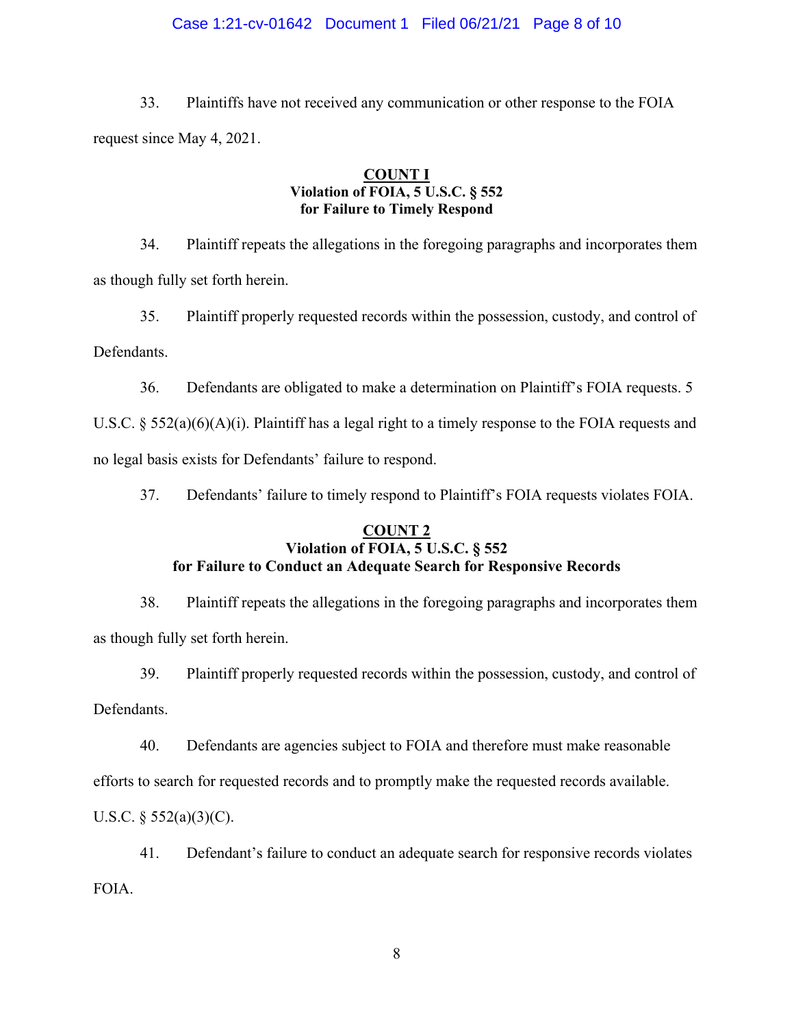## Case 1:21-cv-01642 Document 1 Filed 06/21/21 Page 8 of 10

33. Plaintiffs have not received any communication or other response to the FOIA request since May 4, 2021.

## **COUNT I Violation of FOIA, 5 U.S.C. § 552 for Failure to Timely Respond**

34. Plaintiff repeats the allegations in the foregoing paragraphs and incorporates them as though fully set forth herein.

35. Plaintiff properly requested records within the possession, custody, and control of Defendants.

36. Defendants are obligated to make a determination on Plaintiff's FOIA requests. 5

U.S.C. § 552(a)(6)(A)(i). Plaintiff has a legal right to a timely response to the FOIA requests and no legal basis exists for Defendants' failure to respond.

37. Defendants' failure to timely respond to Plaintiff's FOIA requests violates FOIA.

# **COUNT 2**

# **Violation of FOIA, 5 U.S.C. § 552 for Failure to Conduct an Adequate Search for Responsive Records**

38. Plaintiff repeats the allegations in the foregoing paragraphs and incorporates them as though fully set forth herein.

39. Plaintiff properly requested records within the possession, custody, and control of

Defendants.

40. Defendants are agencies subject to FOIA and therefore must make reasonable

efforts to search for requested records and to promptly make the requested records available.

U.S.C.  $\S$  552(a)(3)(C).

41. Defendant's failure to conduct an adequate search for responsive records violates FOIA.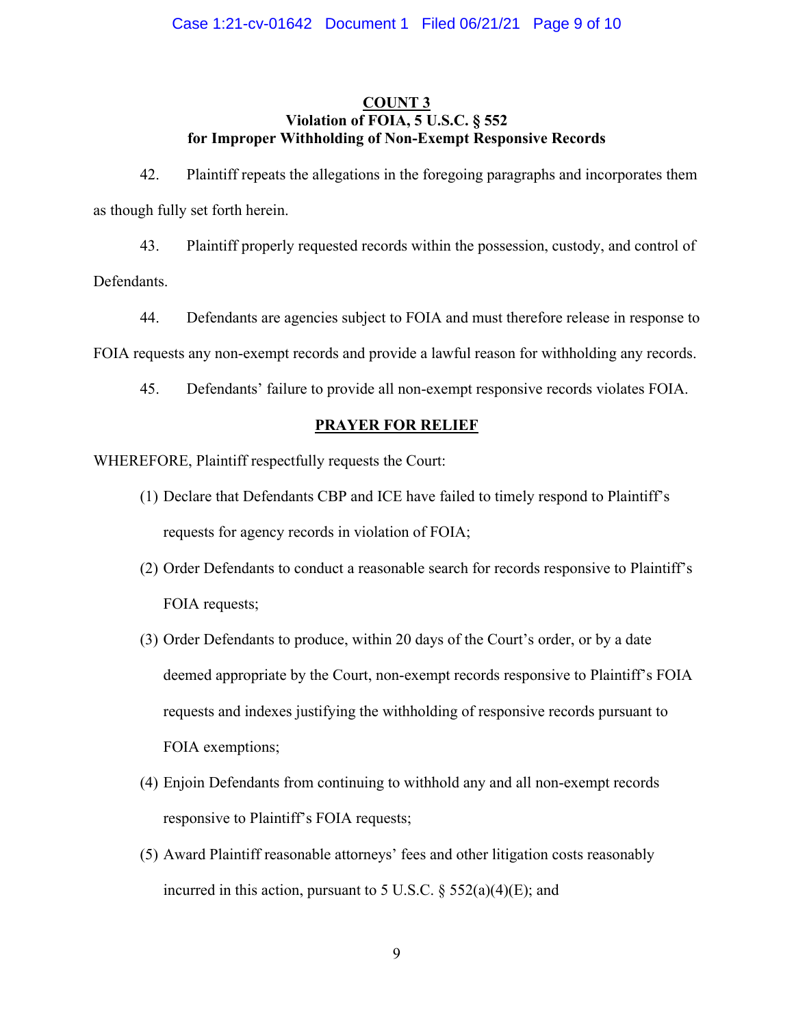# **COUNT 3 Violation of FOIA, 5 U.S.C. § 552 for Improper Withholding of Non-Exempt Responsive Records**

42. Plaintiff repeats the allegations in the foregoing paragraphs and incorporates them as though fully set forth herein.

43. Plaintiff properly requested records within the possession, custody, and control of Defendants.

44. Defendants are agencies subject to FOIA and must therefore release in response to FOIA requests any non-exempt records and provide a lawful reason for withholding any records.

45. Defendants' failure to provide all non-exempt responsive records violates FOIA.

# **PRAYER FOR RELIEF**

WHEREFORE, Plaintiff respectfully requests the Court:

- (1) Declare that Defendants CBP and ICE have failed to timely respond to Plaintiff's requests for agency records in violation of FOIA;
- (2) Order Defendants to conduct a reasonable search for records responsive to Plaintiff's FOIA requests;
- (3) Order Defendants to produce, within 20 days of the Court's order, or by a date deemed appropriate by the Court, non-exempt records responsive to Plaintiff's FOIA requests and indexes justifying the withholding of responsive records pursuant to FOIA exemptions;
- (4) Enjoin Defendants from continuing to withhold any and all non-exempt records responsive to Plaintiff's FOIA requests;
- (5) Award Plaintiff reasonable attorneys' fees and other litigation costs reasonably incurred in this action, pursuant to 5 U.S.C.  $\S$  552(a)(4)(E); and